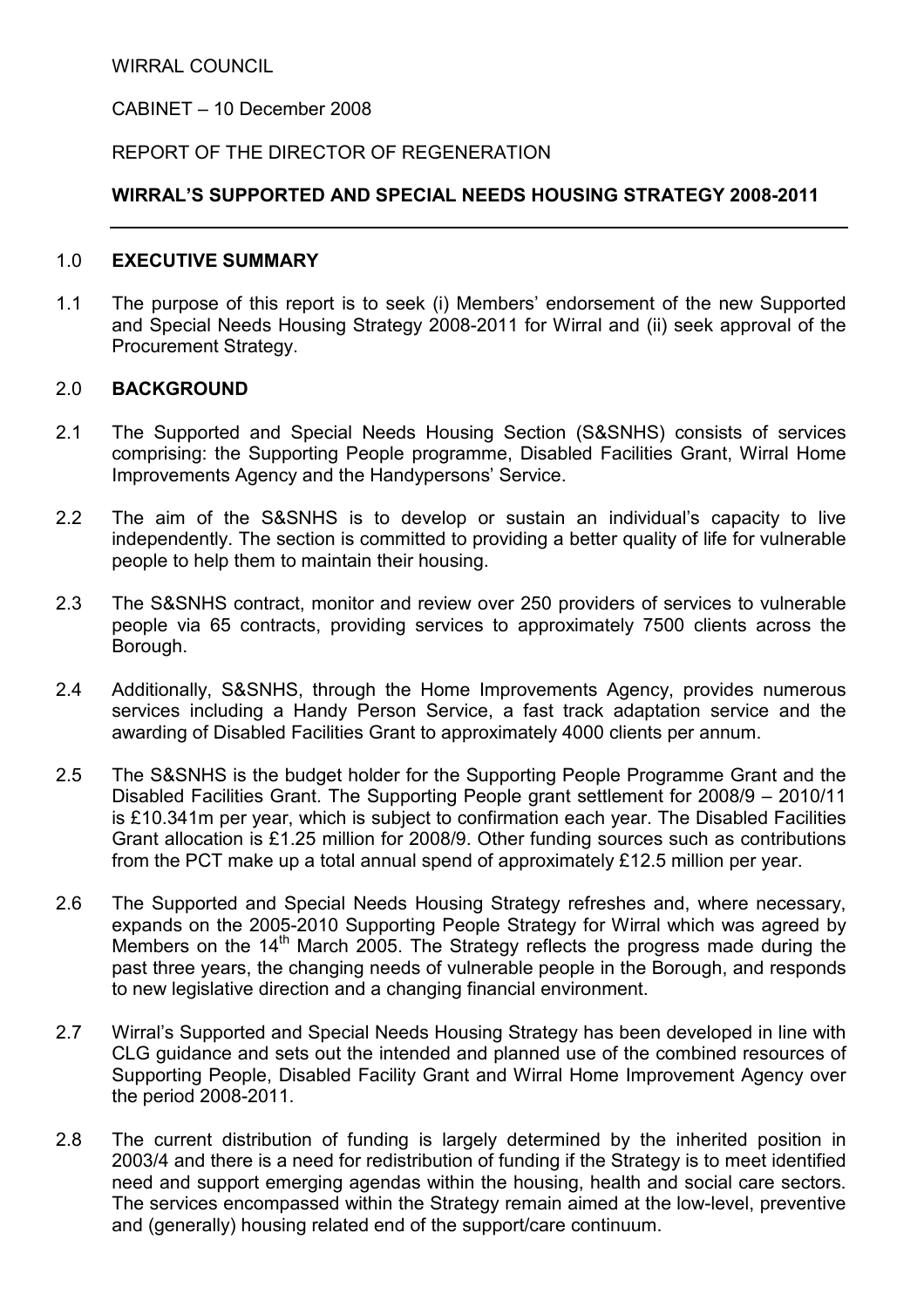WIRRAL COUNCIL

CABINET – 10 December 2008

#### REPORT OF THE DIRECTOR OF REGENERATION

#### WIRRAL'S SUPPORTED AND SPECIAL NEEDS HOUSING STRATEGY 2008-2011

#### 1.0 EXECUTIVE SUMMARY

1.1 The purpose of this report is to seek (i) Members' endorsement of the new Supported and Special Needs Housing Strategy 2008-2011 for Wirral and (ii) seek approval of the Procurement Strategy.

#### 2.0 BACKGROUND

- 2.1 The Supported and Special Needs Housing Section (S&SNHS) consists of services comprising: the Supporting People programme, Disabled Facilities Grant, Wirral Home Improvements Agency and the Handypersons' Service.
- 2.2 The aim of the S&SNHS is to develop or sustain an individual's capacity to live independently. The section is committed to providing a better quality of life for vulnerable people to help them to maintain their housing.
- 2.3 The S&SNHS contract, monitor and review over 250 providers of services to vulnerable people via 65 contracts, providing services to approximately 7500 clients across the Borough.
- 2.4 Additionally, S&SNHS, through the Home Improvements Agency, provides numerous services including a Handy Person Service, a fast track adaptation service and the awarding of Disabled Facilities Grant to approximately 4000 clients per annum.
- 2.5 The S&SNHS is the budget holder for the Supporting People Programme Grant and the Disabled Facilities Grant. The Supporting People grant settlement for 2008/9 – 2010/11 is £10.341m per year, which is subject to confirmation each year. The Disabled Facilities Grant allocation is £1.25 million for 2008/9. Other funding sources such as contributions from the PCT make up a total annual spend of approximately £12.5 million per year.
- 2.6 The Supported and Special Needs Housing Strategy refreshes and, where necessary, expands on the 2005-2010 Supporting People Strategy for Wirral which was agreed by Members on the 14<sup>th</sup> March 2005. The Strategy reflects the progress made during the past three years, the changing needs of vulnerable people in the Borough, and responds to new legislative direction and a changing financial environment.
- 2.7 Wirral's Supported and Special Needs Housing Strategy has been developed in line with CLG guidance and sets out the intended and planned use of the combined resources of Supporting People, Disabled Facility Grant and Wirral Home Improvement Agency over the period 2008-2011.
- 2.8 The current distribution of funding is largely determined by the inherited position in 2003/4 and there is a need for redistribution of funding if the Strategy is to meet identified need and support emerging agendas within the housing, health and social care sectors. The services encompassed within the Strategy remain aimed at the low-level, preventive and (generally) housing related end of the support/care continuum.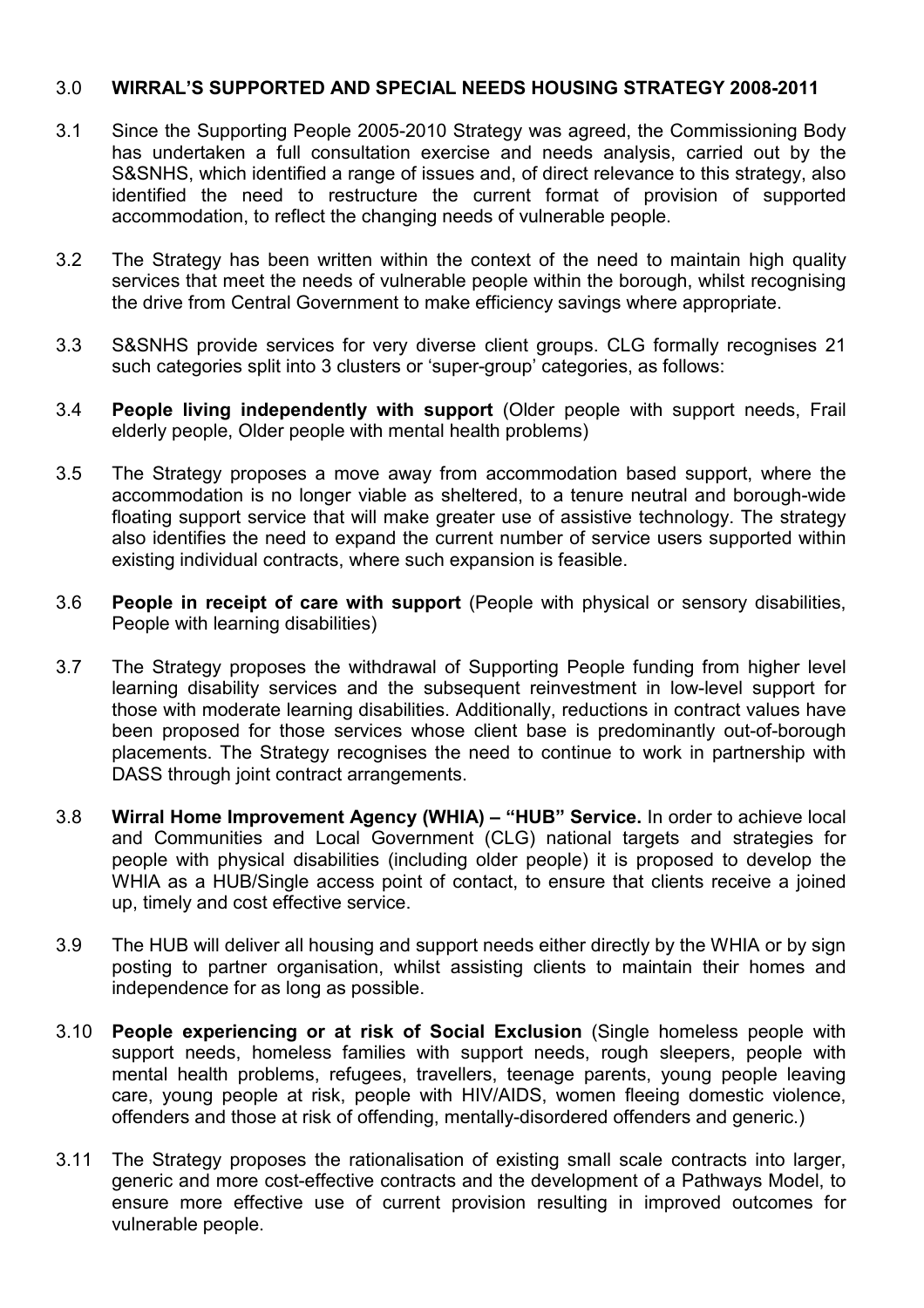### 3.0 WIRRAL'S SUPPORTED AND SPECIAL NEEDS HOUSING STRATEGY 2008-2011

- 3.1 Since the Supporting People 2005-2010 Strategy was agreed, the Commissioning Body has undertaken a full consultation exercise and needs analysis, carried out by the S&SNHS, which identified a range of issues and, of direct relevance to this strategy, also identified the need to restructure the current format of provision of supported accommodation, to reflect the changing needs of vulnerable people.
- 3.2 The Strategy has been written within the context of the need to maintain high quality services that meet the needs of vulnerable people within the borough, whilst recognising the drive from Central Government to make efficiency savings where appropriate.
- 3.3 S&SNHS provide services for very diverse client groups. CLG formally recognises 21 such categories split into 3 clusters or 'super-group' categories, as follows:
- 3.4 People living independently with support (Older people with support needs, Frail elderly people, Older people with mental health problems)
- 3.5 The Strategy proposes a move away from accommodation based support, where the accommodation is no longer viable as sheltered, to a tenure neutral and borough-wide floating support service that will make greater use of assistive technology. The strategy also identifies the need to expand the current number of service users supported within existing individual contracts, where such expansion is feasible.
- 3.6 People in receipt of care with support (People with physical or sensory disabilities, People with learning disabilities)
- 3.7 The Strategy proposes the withdrawal of Supporting People funding from higher level learning disability services and the subsequent reinvestment in low-level support for those with moderate learning disabilities. Additionally, reductions in contract values have been proposed for those services whose client base is predominantly out-of-borough placements. The Strategy recognises the need to continue to work in partnership with DASS through joint contract arrangements.
- 3.8 Wirral Home Improvement Agency (WHIA) "HUB" Service. In order to achieve local and Communities and Local Government (CLG) national targets and strategies for people with physical disabilities (including older people) it is proposed to develop the WHIA as a HUB/Single access point of contact, to ensure that clients receive a joined up, timely and cost effective service.
- 3.9 The HUB will deliver all housing and support needs either directly by the WHIA or by sign posting to partner organisation, whilst assisting clients to maintain their homes and independence for as long as possible.
- 3.10 People experiencing or at risk of Social Exclusion (Single homeless people with support needs, homeless families with support needs, rough sleepers, people with mental health problems, refugees, travellers, teenage parents, young people leaving care, young people at risk, people with HIV/AIDS, women fleeing domestic violence, offenders and those at risk of offending, mentally-disordered offenders and generic.)
- 3.11 The Strategy proposes the rationalisation of existing small scale contracts into larger, generic and more cost-effective contracts and the development of a Pathways Model, to ensure more effective use of current provision resulting in improved outcomes for vulnerable people.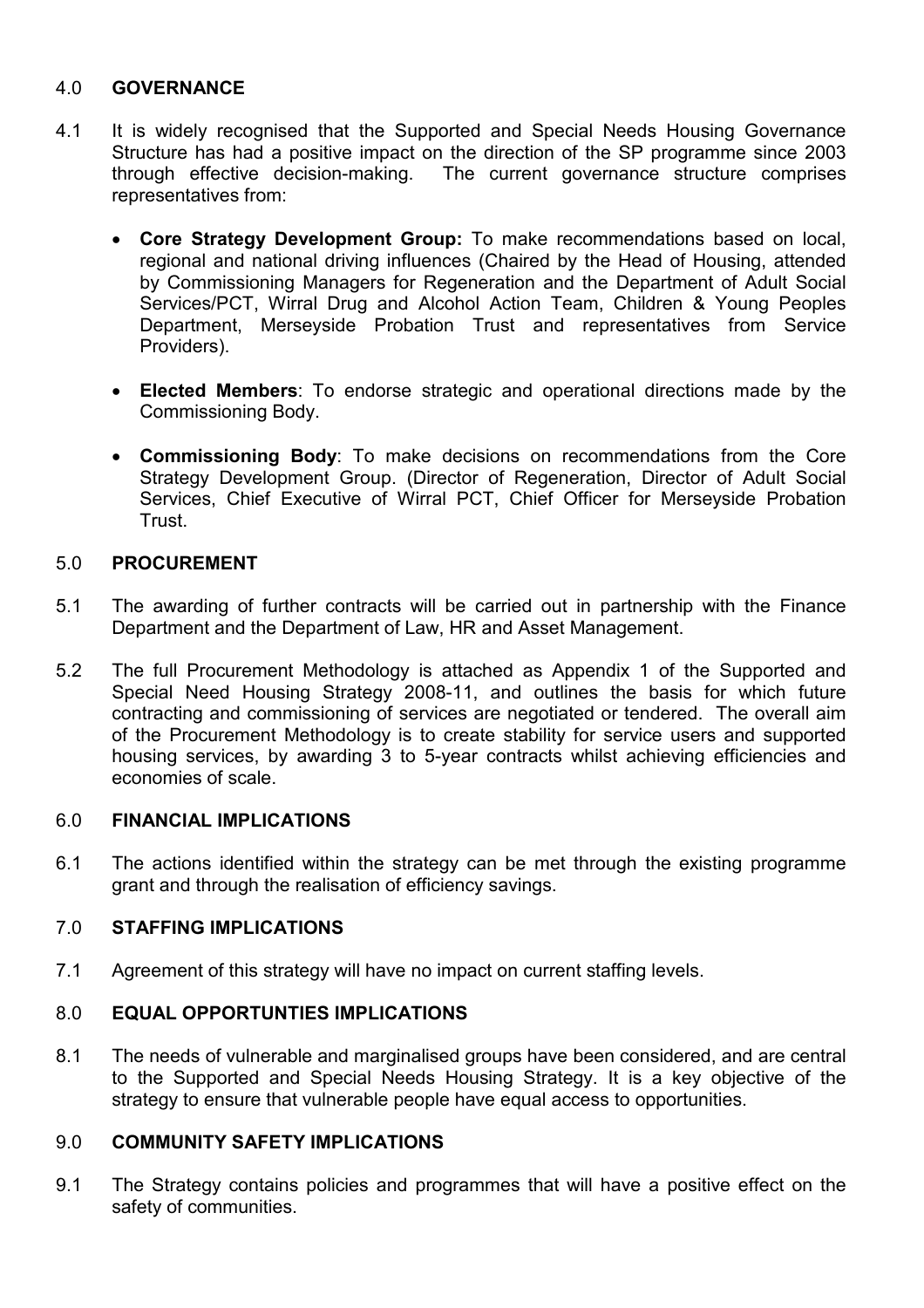### 4.0 GOVERNANCE

- 4.1 It is widely recognised that the Supported and Special Needs Housing Governance Structure has had a positive impact on the direction of the SP programme since 2003 through effective decision-making. The current governance structure comprises representatives from:
	- Core Strategy Development Group: To make recommendations based on local, regional and national driving influences (Chaired by the Head of Housing, attended by Commissioning Managers for Regeneration and the Department of Adult Social Services/PCT, Wirral Drug and Alcohol Action Team, Children & Young Peoples Department, Merseyside Probation Trust and representatives from Service Providers).
	- Elected Members: To endorse strategic and operational directions made by the Commissioning Body.
	- Commissioning Body: To make decisions on recommendations from the Core Strategy Development Group. (Director of Regeneration, Director of Adult Social Services, Chief Executive of Wirral PCT, Chief Officer for Merseyside Probation **Trust**

### 5.0 PROCUREMENT

- 5.1 The awarding of further contracts will be carried out in partnership with the Finance Department and the Department of Law, HR and Asset Management.
- 5.2 The full Procurement Methodology is attached as Appendix 1 of the Supported and Special Need Housing Strategy 2008-11, and outlines the basis for which future contracting and commissioning of services are negotiated or tendered. The overall aim of the Procurement Methodology is to create stability for service users and supported housing services, by awarding 3 to 5-year contracts whilst achieving efficiencies and economies of scale.

### 6.0 FINANCIAL IMPLICATIONS

6.1 The actions identified within the strategy can be met through the existing programme grant and through the realisation of efficiency savings.

### 7.0 STAFFING IMPLICATIONS

7.1 Agreement of this strategy will have no impact on current staffing levels.

### 8.0 EQUAL OPPORTUNTIES IMPLICATIONS

8.1 The needs of vulnerable and marginalised groups have been considered, and are central to the Supported and Special Needs Housing Strategy. It is a key objective of the strategy to ensure that vulnerable people have equal access to opportunities.

### 9.0 COMMUNITY SAFETY IMPLICATIONS

9.1 The Strategy contains policies and programmes that will have a positive effect on the safety of communities.